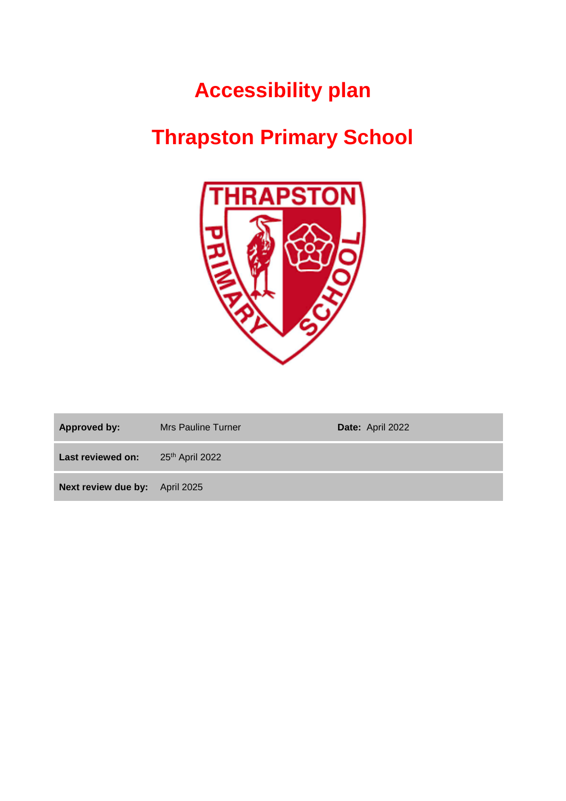## **Accessibility plan**

# **Thrapston Primary School**



| Approved by:                   | Mrs Pauline Turner | Date: April 2022 |
|--------------------------------|--------------------|------------------|
| Last reviewed on:              | 25th April 2022    |                  |
| Next review due by: April 2025 |                    |                  |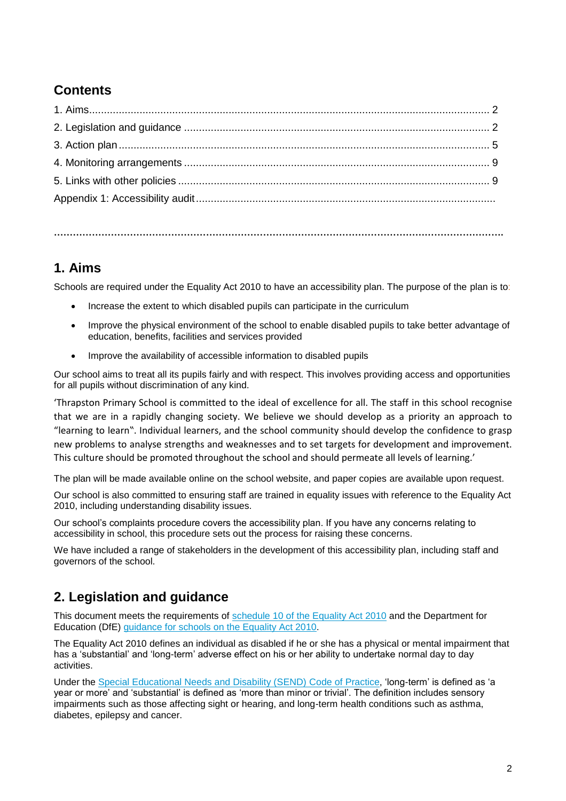#### **Contents**

**…………………………………………………………………………………………………………………………….**

#### **1. Aims**

Schools are required under the Equality Act 2010 to have an accessibility plan. The purpose of the plan is to:

- Increase the extent to which disabled pupils can participate in the curriculum
- Improve the physical environment of the school to enable disabled pupils to take better advantage of education, benefits, facilities and services provided
- Improve the availability of accessible information to disabled pupils

Our school aims to treat all its pupils fairly and with respect. This involves providing access and opportunities for all pupils without discrimination of any kind.

'Thrapston Primary School is committed to the ideal of excellence for all. The staff in this school recognise that we are in a rapidly changing society. We believe we should develop as a priority an approach to "learning to learn". Individual learners, and the school community should develop the confidence to grasp new problems to analyse strengths and weaknesses and to set targets for development and improvement. This culture should be promoted throughout the school and should permeate all levels of learning.'

The plan will be made available online on the school website, and paper copies are available upon request.

Our school is also committed to ensuring staff are trained in equality issues with reference to the Equality Act 2010, including understanding disability issues.

Our school's complaints procedure covers the accessibility plan. If you have any concerns relating to accessibility in school, this procedure sets out the process for raising these concerns.

We have included a range of stakeholders in the development of this accessibility plan, including staff and governors of the school.

#### **2. Legislation and guidance**

This document meets the requirements of [schedule 10 of the Equality Act 2010](http://www.legislation.gov.uk/ukpga/2010/15/schedule/10) and the Department for Education (DfE) [guidance for schools on the Equality Act 2010.](https://www.gov.uk/government/publications/equality-act-2010-advice-for-schools)

The Equality Act 2010 defines an individual as disabled if he or she has a physical or mental impairment that has a 'substantial' and 'long-term' adverse effect on his or her ability to undertake normal day to day activities.

Under the [Special Educational Needs and Disability \(SEND\) Code of Practice,](https://www.gov.uk/government/publications/send-code-of-practice-0-to-25) 'long-term' is defined as 'a year or more' and 'substantial' is defined as 'more than minor or trivial'. The definition includes sensory impairments such as those affecting sight or hearing, and long-term health conditions such as asthma, diabetes, epilepsy and cancer.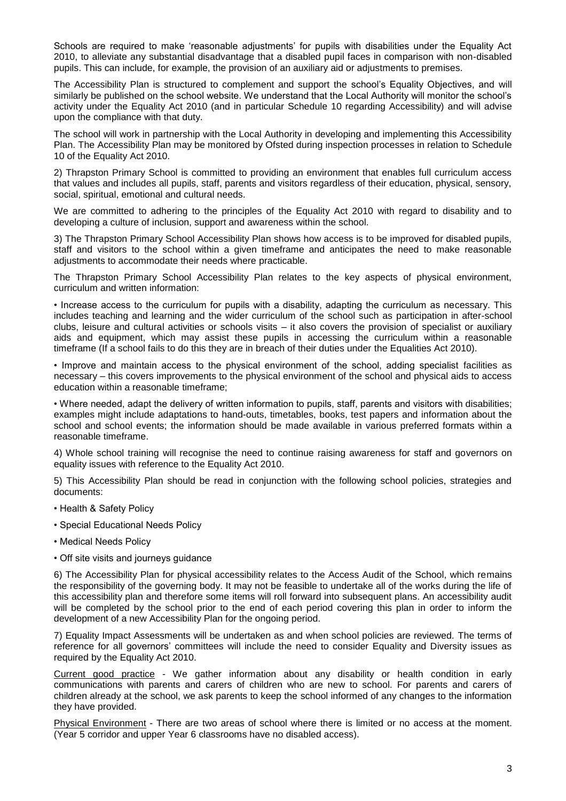Schools are required to make 'reasonable adjustments' for pupils with disabilities under the Equality Act 2010, to alleviate any substantial disadvantage that a disabled pupil faces in comparison with non-disabled pupils. This can include, for example, the provision of an auxiliary aid or adjustments to premises.

The Accessibility Plan is structured to complement and support the school's Equality Objectives, and will similarly be published on the school website. We understand that the Local Authority will monitor the school's activity under the Equality Act 2010 (and in particular Schedule 10 regarding Accessibility) and will advise upon the compliance with that duty.

The school will work in partnership with the Local Authority in developing and implementing this Accessibility Plan. The Accessibility Plan may be monitored by Ofsted during inspection processes in relation to Schedule 10 of the Equality Act 2010.

2) Thrapston Primary School is committed to providing an environment that enables full curriculum access that values and includes all pupils, staff, parents and visitors regardless of their education, physical, sensory, social, spiritual, emotional and cultural needs.

We are committed to adhering to the principles of the Equality Act 2010 with regard to disability and to developing a culture of inclusion, support and awareness within the school.

3) The Thrapston Primary School Accessibility Plan shows how access is to be improved for disabled pupils, staff and visitors to the school within a given timeframe and anticipates the need to make reasonable adjustments to accommodate their needs where practicable.

The Thrapston Primary School Accessibility Plan relates to the key aspects of physical environment, curriculum and written information:

• Increase access to the curriculum for pupils with a disability, adapting the curriculum as necessary. This includes teaching and learning and the wider curriculum of the school such as participation in after-school clubs, leisure and cultural activities or schools visits – it also covers the provision of specialist or auxiliary aids and equipment, which may assist these pupils in accessing the curriculum within a reasonable timeframe (If a school fails to do this they are in breach of their duties under the Equalities Act 2010).

• Improve and maintain access to the physical environment of the school, adding specialist facilities as necessary – this covers improvements to the physical environment of the school and physical aids to access education within a reasonable timeframe;

• Where needed, adapt the delivery of written information to pupils, staff, parents and visitors with disabilities; examples might include adaptations to hand-outs, timetables, books, test papers and information about the school and school events; the information should be made available in various preferred formats within a reasonable timeframe.

4) Whole school training will recognise the need to continue raising awareness for staff and governors on equality issues with reference to the Equality Act 2010.

5) This Accessibility Plan should be read in conjunction with the following school policies, strategies and documents:

- Health & Safety Policy
- Special Educational Needs Policy
- Medical Needs Policy
- Off site visits and journeys guidance

6) The Accessibility Plan for physical accessibility relates to the Access Audit of the School, which remains the responsibility of the governing body. It may not be feasible to undertake all of the works during the life of this accessibility plan and therefore some items will roll forward into subsequent plans. An accessibility audit will be completed by the school prior to the end of each period covering this plan in order to inform the development of a new Accessibility Plan for the ongoing period.

7) Equality Impact Assessments will be undertaken as and when school policies are reviewed. The terms of reference for all governors' committees will include the need to consider Equality and Diversity issues as required by the Equality Act 2010.

Current good practice - We gather information about any disability or health condition in early communications with parents and carers of children who are new to school. For parents and carers of children already at the school, we ask parents to keep the school informed of any changes to the information they have provided.

Physical Environment - There are two areas of school where there is limited or no access at the moment. (Year 5 corridor and upper Year 6 classrooms have no disabled access).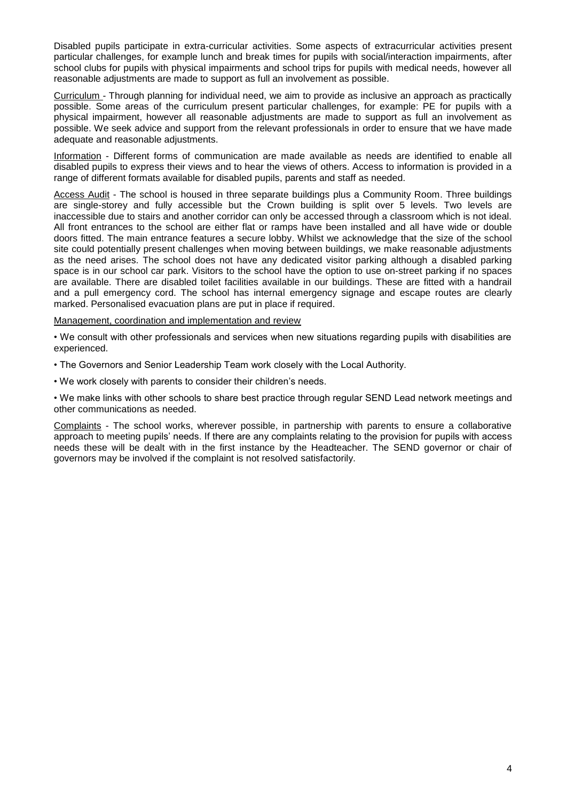Disabled pupils participate in extra-curricular activities. Some aspects of extracurricular activities present particular challenges, for example lunch and break times for pupils with social/interaction impairments, after school clubs for pupils with physical impairments and school trips for pupils with medical needs, however all reasonable adjustments are made to support as full an involvement as possible.

Curriculum - Through planning for individual need, we aim to provide as inclusive an approach as practically possible. Some areas of the curriculum present particular challenges, for example: PE for pupils with a physical impairment, however all reasonable adjustments are made to support as full an involvement as possible. We seek advice and support from the relevant professionals in order to ensure that we have made adequate and reasonable adjustments.

Information - Different forms of communication are made available as needs are identified to enable all disabled pupils to express their views and to hear the views of others. Access to information is provided in a range of different formats available for disabled pupils, parents and staff as needed.

Access Audit - The school is housed in three separate buildings plus a Community Room. Three buildings are single-storey and fully accessible but the Crown building is split over 5 levels. Two levels are inaccessible due to stairs and another corridor can only be accessed through a classroom which is not ideal. All front entrances to the school are either flat or ramps have been installed and all have wide or double doors fitted. The main entrance features a secure lobby. Whilst we acknowledge that the size of the school site could potentially present challenges when moving between buildings, we make reasonable adjustments as the need arises. The school does not have any dedicated visitor parking although a disabled parking space is in our school car park. Visitors to the school have the option to use on-street parking if no spaces are available. There are disabled toilet facilities available in our buildings. These are fitted with a handrail and a pull emergency cord. The school has internal emergency signage and escape routes are clearly marked. Personalised evacuation plans are put in place if required.

Management, coordination and implementation and review

• We consult with other professionals and services when new situations regarding pupils with disabilities are experienced.

- The Governors and Senior Leadership Team work closely with the Local Authority.
- We work closely with parents to consider their children's needs.

• We make links with other schools to share best practice through regular SEND Lead network meetings and other communications as needed.

Complaints - The school works, wherever possible, in partnership with parents to ensure a collaborative approach to meeting pupils' needs. If there are any complaints relating to the provision for pupils with access needs these will be dealt with in the first instance by the Headteacher. The SEND governor or chair of governors may be involved if the complaint is not resolved satisfactorily.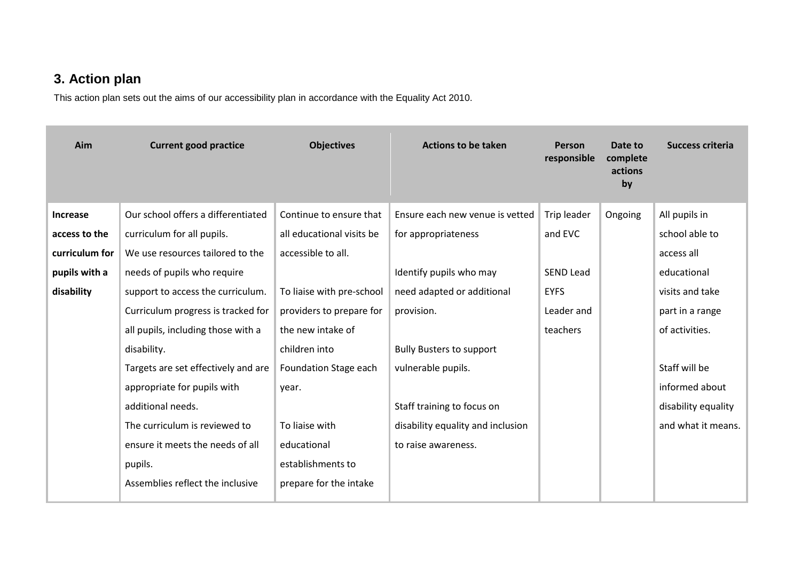### **3. Action plan**

This action plan sets out the aims of our accessibility plan in accordance with the Equality Act 2010.

| Aim             | <b>Current good practice</b>        | <b>Objectives</b>         | <b>Actions to be taken</b>        | <b>Person</b><br>responsible | Date to<br>complete<br>actions<br>by | Success criteria    |
|-----------------|-------------------------------------|---------------------------|-----------------------------------|------------------------------|--------------------------------------|---------------------|
| <b>Increase</b> | Our school offers a differentiated  | Continue to ensure that   | Ensure each new venue is vetted   | Trip leader                  | Ongoing                              | All pupils in       |
| access to the   | curriculum for all pupils.          | all educational visits be | for appropriateness               | and EVC                      |                                      | school able to      |
| curriculum for  | We use resources tailored to the    | accessible to all.        |                                   |                              |                                      | access all          |
| pupils with a   | needs of pupils who require         |                           | Identify pupils who may           | <b>SEND Lead</b>             |                                      | educational         |
| disability      | support to access the curriculum.   | To liaise with pre-school | need adapted or additional        | <b>EYFS</b>                  |                                      | visits and take     |
|                 | Curriculum progress is tracked for  | providers to prepare for  | provision.                        | Leader and                   |                                      | part in a range     |
|                 | all pupils, including those with a  | the new intake of         |                                   | teachers                     |                                      | of activities.      |
|                 | disability.                         | children into             | <b>Bully Busters to support</b>   |                              |                                      |                     |
|                 | Targets are set effectively and are | Foundation Stage each     | vulnerable pupils.                |                              |                                      | Staff will be       |
|                 | appropriate for pupils with         | year.                     |                                   |                              |                                      | informed about      |
|                 | additional needs.                   |                           | Staff training to focus on        |                              |                                      | disability equality |
|                 | The curriculum is reviewed to       | To liaise with            | disability equality and inclusion |                              |                                      | and what it means.  |
|                 | ensure it meets the needs of all    | educational               | to raise awareness.               |                              |                                      |                     |
|                 | pupils.                             | establishments to         |                                   |                              |                                      |                     |
|                 | Assemblies reflect the inclusive    | prepare for the intake    |                                   |                              |                                      |                     |
|                 |                                     |                           |                                   |                              |                                      |                     |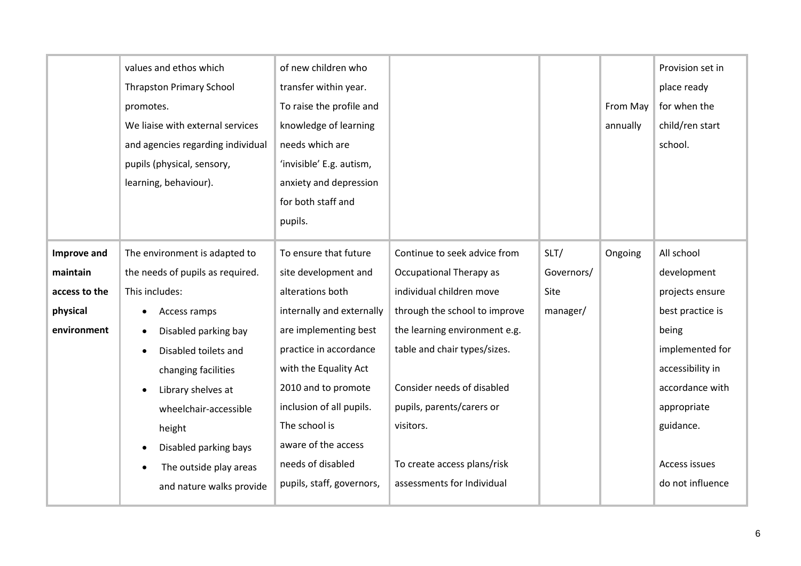|                    | values and ethos which            | of new children who       |                               |            |          | Provision set in |
|--------------------|-----------------------------------|---------------------------|-------------------------------|------------|----------|------------------|
|                    | <b>Thrapston Primary School</b>   | transfer within year.     |                               |            |          | place ready      |
|                    | promotes.                         | To raise the profile and  |                               |            | From May | for when the     |
|                    | We liaise with external services  | knowledge of learning     |                               |            | annually | child/ren start  |
|                    | and agencies regarding individual | needs which are           |                               |            |          | school.          |
|                    | pupils (physical, sensory,        | 'invisible' E.g. autism,  |                               |            |          |                  |
|                    | learning, behaviour).             | anxiety and depression    |                               |            |          |                  |
|                    |                                   | for both staff and        |                               |            |          |                  |
|                    |                                   | pupils.                   |                               |            |          |                  |
|                    |                                   |                           |                               |            |          |                  |
| <b>Improve and</b> | The environment is adapted to     | To ensure that future     | Continue to seek advice from  | SLT/       | Ongoing  | All school       |
| maintain           | the needs of pupils as required.  | site development and      | Occupational Therapy as       | Governors/ |          | development      |
| access to the      | This includes:                    | alterations both          | individual children move      | Site       |          | projects ensure  |
| physical           | Access ramps<br>$\bullet$         | internally and externally | through the school to improve | manager/   |          | best practice is |
| environment        | Disabled parking bay<br>$\bullet$ | are implementing best     | the learning environment e.g. |            |          | being            |
|                    | Disabled toilets and              | practice in accordance    | table and chair types/sizes.  |            |          | implemented for  |
|                    | changing facilities               | with the Equality Act     |                               |            |          | accessibility in |
|                    | Library shelves at<br>$\bullet$   | 2010 and to promote       | Consider needs of disabled    |            |          | accordance with  |
|                    | wheelchair-accessible             | inclusion of all pupils.  | pupils, parents/carers or     |            |          | appropriate      |
|                    | height                            | The school is             | visitors.                     |            |          | guidance.        |
|                    | Disabled parking bays             | aware of the access       |                               |            |          |                  |
|                    | The outside play areas            | needs of disabled         | To create access plans/risk   |            |          | Access issues    |
|                    | and nature walks provide          | pupils, staff, governors, | assessments for Individual    |            |          | do not influence |
|                    |                                   |                           |                               |            |          |                  |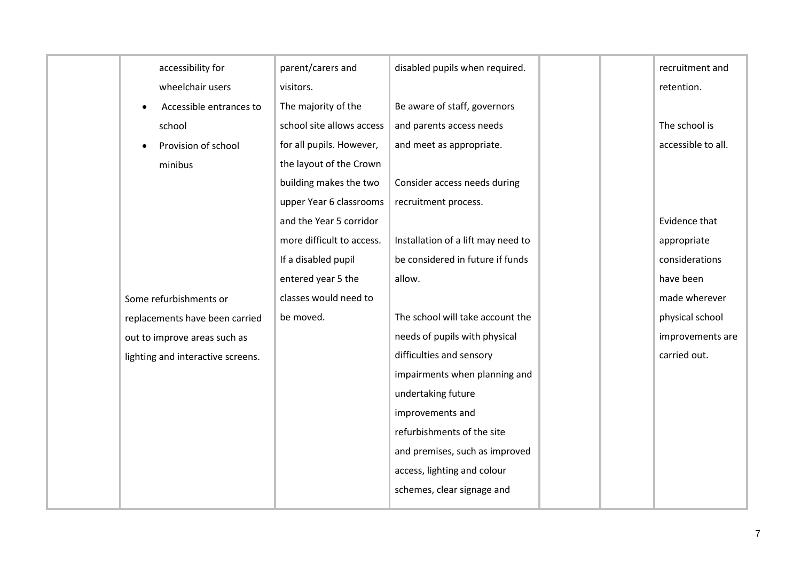|  | accessibility for                    | parent/carers and         | disabled pupils when required.     | recruitment and    |
|--|--------------------------------------|---------------------------|------------------------------------|--------------------|
|  | wheelchair users                     | visitors.                 |                                    | retention.         |
|  | Accessible entrances to<br>$\bullet$ | The majority of the       | Be aware of staff, governors       |                    |
|  | school                               | school site allows access | and parents access needs           | The school is      |
|  | Provision of school                  | for all pupils. However,  | and meet as appropriate.           | accessible to all. |
|  | minibus                              | the layout of the Crown   |                                    |                    |
|  |                                      | building makes the two    | Consider access needs during       |                    |
|  |                                      | upper Year 6 classrooms   | recruitment process.               |                    |
|  |                                      | and the Year 5 corridor   |                                    | Evidence that      |
|  |                                      | more difficult to access. | Installation of a lift may need to | appropriate        |
|  |                                      | If a disabled pupil       | be considered in future if funds   | considerations     |
|  |                                      | entered year 5 the        | allow.                             | have been          |
|  | Some refurbishments or               | classes would need to     |                                    | made wherever      |
|  | replacements have been carried       | be moved.                 | The school will take account the   | physical school    |
|  | out to improve areas such as         |                           | needs of pupils with physical      | improvements are   |
|  | lighting and interactive screens.    |                           | difficulties and sensory           | carried out.       |
|  |                                      |                           | impairments when planning and      |                    |
|  |                                      |                           | undertaking future                 |                    |
|  |                                      |                           | improvements and                   |                    |
|  |                                      |                           | refurbishments of the site         |                    |
|  |                                      |                           | and premises, such as improved     |                    |
|  |                                      |                           | access, lighting and colour        |                    |
|  |                                      |                           | schemes, clear signage and         |                    |
|  |                                      |                           |                                    |                    |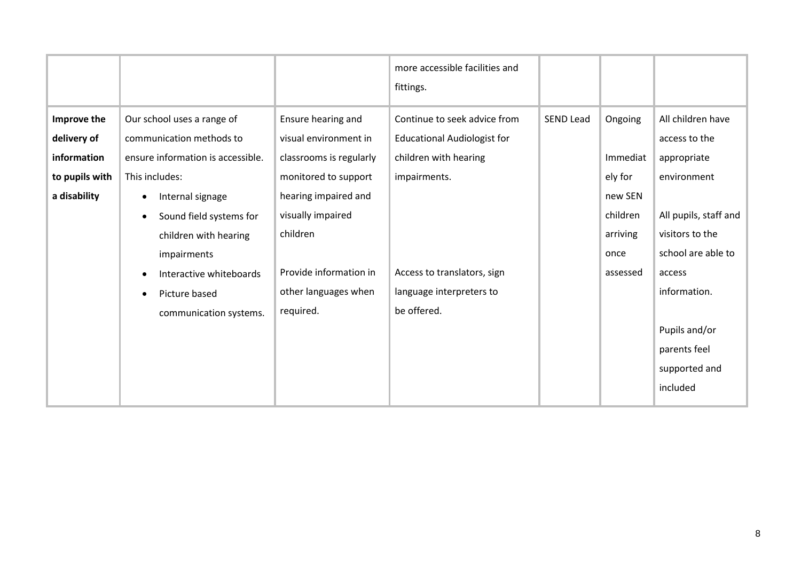|                |                                      |                         | more accessible facilities and<br>fittings. |                  |          |                       |
|----------------|--------------------------------------|-------------------------|---------------------------------------------|------------------|----------|-----------------------|
| Improve the    | Our school uses a range of           | Ensure hearing and      | Continue to seek advice from                | <b>SEND Lead</b> | Ongoing  | All children have     |
| delivery of    | communication methods to             | visual environment in   | <b>Educational Audiologist for</b>          |                  |          | access to the         |
| information    | ensure information is accessible.    | classrooms is regularly | children with hearing                       |                  | Immediat | appropriate           |
| to pupils with | This includes:                       | monitored to support    | impairments.                                |                  | ely for  | environment           |
| a disability   | Internal signage<br>$\bullet$        | hearing impaired and    |                                             |                  | new SEN  |                       |
|                | Sound field systems for<br>$\bullet$ | visually impaired       |                                             |                  | children | All pupils, staff and |
|                | children with hearing                | children                |                                             |                  | arriving | visitors to the       |
|                | impairments                          |                         |                                             |                  | once     | school are able to    |
|                | Interactive whiteboards<br>$\bullet$ | Provide information in  | Access to translators, sign                 |                  | assessed | access                |
|                | Picture based<br>$\bullet$           | other languages when    | language interpreters to                    |                  |          | information.          |
|                | communication systems.               | required.               | be offered.                                 |                  |          |                       |
|                |                                      |                         |                                             |                  |          | Pupils and/or         |
|                |                                      |                         |                                             |                  |          | parents feel          |
|                |                                      |                         |                                             |                  |          | supported and         |
|                |                                      |                         |                                             |                  |          | included              |
|                |                                      |                         |                                             |                  |          |                       |